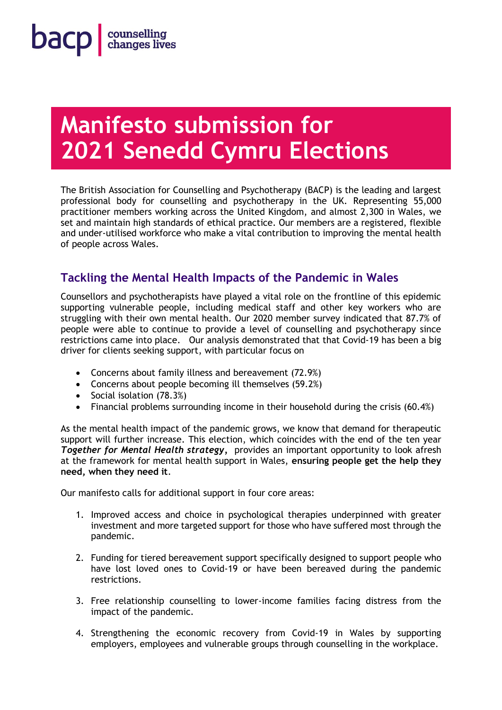# **Manifesto submission for 2021 Senedd Cymru Elections**

The British Association for Counselling and Psychotherapy (BACP) is the leading and largest professional body for counselling and psychotherapy in the UK. Representing 55,000 practitioner members working across the United Kingdom, and almost 2,300 in Wales, we set and maintain high standards of ethical practice. Our members are a registered, flexible and under-utilised workforce who make a vital contribution to improving the mental health of people across Wales.

# **Tackling the Mental Health Impacts of the Pandemic in Wales**

Counsellors and psychotherapists have played a vital role on the frontline of this epidemic supporting vulnerable people, including medical staff and other key workers who are struggling with their own mental health. Our 2020 member survey indicated that 87.7% of people were able to continue to provide a level of counselling and psychotherapy since restrictions came into place. Our analysis demonstrated that that Covid-19 has been a big driver for clients seeking support, with particular focus on

- Concerns about family illness and bereavement (72.9%)
- Concerns about people becoming ill themselves (59.2%)
- Social isolation (78.3%)
- Financial problems surrounding income in their household during the crisis (60.4%)

As the mental health impact of the pandemic grows, we know that demand for therapeutic support will further increase. This election, which coincides with the end of the ten year *Together for Mental Health strategy,* provides an important opportunity to look afresh at the framework for mental health support in Wales, **ensuring people get the help they need, when they need it**.

Our manifesto calls for additional support in four core areas:

- 1. Improved access and choice in psychological therapies underpinned with greater investment and more targeted support for those who have suffered most through the pandemic.
- 2. Funding for tiered bereavement support specifically designed to support people who have lost loved ones to Covid-19 or have been bereaved during the pandemic restrictions.
- 3. Free relationship counselling to lower-income families facing distress from the impact of the pandemic.
- 4. Strengthening the economic recovery from Covid-19 in Wales by supporting employers, employees and vulnerable groups through counselling in the workplace.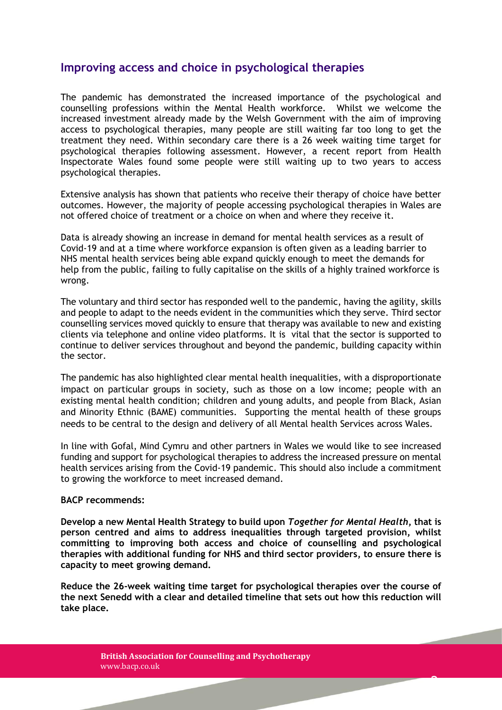## **Improving access and choice in psychological therapies**

The pandemic has demonstrated the increased importance of the psychological and counselling professions within the Mental Health workforce. Whilst we welcome the increased investment already made by the Welsh Government with the aim of improving access to psychological therapies, many people are still waiting far too long to get the treatment they need. Within secondary care there is a 26 week waiting time target for psychological therapies following assessment. However, a recent report from Health Inspectorate Wales found some people were still waiting up to two years to access psychological therapies.

Extensive analysis has shown that patients who receive their therapy of choice have better outcomes. However, the majority of people accessing psychological therapies in Wales are not offered choice of treatment or a choice on when and where they receive it.

Data is already showing an increase in demand for mental health services as a result of Covid-19 and at a time where workforce expansion is often given as a leading barrier to NHS mental health services being able expand quickly enough to meet the demands for help from the public, failing to fully capitalise on the skills of a highly trained workforce is wrong.

The voluntary and third sector has responded well to the pandemic, having the agility, skills and people to adapt to the needs evident in the communities which they serve. Third sector counselling services moved quickly to ensure that therapy was available to new and existing clients via telephone and online video platforms. It is vital that the sector is supported to continue to deliver services throughout and beyond the pandemic, building capacity within the sector.

The pandemic has also highlighted clear mental health inequalities, with a disproportionate impact on particular groups in society, such as those on a low income; people with an existing mental health condition; children and young adults, and people from Black, Asian and Minority Ethnic (BAME) communities. Supporting the mental health of these groups needs to be central to the design and delivery of all Mental health Services across Wales.

In line with Gofal, Mind Cymru and other partners in Wales we would like to see increased funding and support for psychological therapies to address the increased pressure on mental health services arising from the Covid-19 pandemic. This should also include a commitment to growing the workforce to meet increased demand.

### **BACP recommends:**

**Develop a new Mental Health Strategy to build upon** *Together for Mental Health***, that is person centred and aims to address inequalities through targeted provision, whilst committing to improving both access and choice of counselling and psychological therapies with additional funding for NHS and third sector providers, to ensure there is capacity to meet growing demand.**

**Reduce the 26-week waiting time target for psychological therapies over the course of the next Senedd with a clear and detailed timeline that sets out how this reduction will take place.**

**2** 

**British Association for Counselling and Psychotherapy** www.bacp.co.uk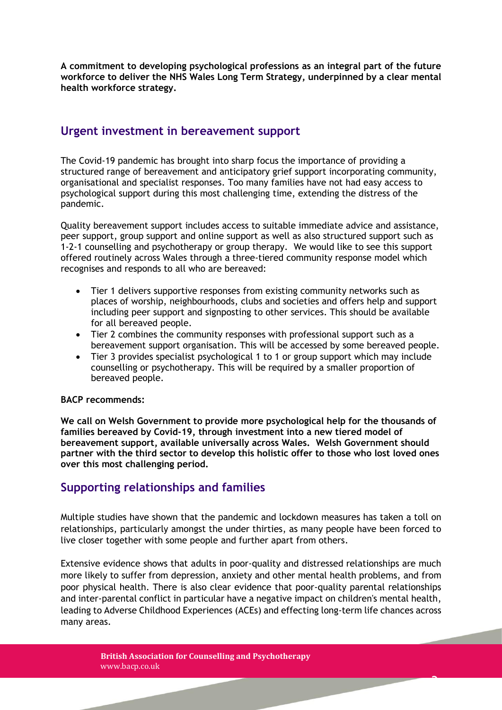**A commitment to developing psychological professions as an integral part of the future workforce to deliver the NHS Wales Long Term Strategy, underpinned by a clear mental health workforce strategy.** 

## **Urgent investment in bereavement support**

The Covid-19 pandemic has brought into sharp focus the importance of providing a structured range of bereavement and anticipatory grief support incorporating community, organisational and specialist responses. Too many families have not had easy access to psychological support during this most challenging time, extending the distress of the pandemic.

Quality bereavement support includes access to suitable immediate advice and assistance, peer support, group support and online support as well as also structured support such as 1-2-1 counselling and psychotherapy or group therapy. We would like to see this support offered routinely across Wales through a three-tiered community response model which recognises and responds to all who are bereaved:

- Tier 1 delivers supportive responses from existing community networks such as places of worship, neighbourhoods, clubs and societies and offers help and support including peer support and signposting to other services. This should be available for all bereaved people.
- Tier 2 combines the community responses with professional support such as a bereavement support organisation. This will be accessed by some bereaved people.
- Tier 3 provides specialist psychological 1 to 1 or group support which may include counselling or psychotherapy. This will be required by a smaller proportion of bereaved people.

## **BACP recommends:**

**We call on Welsh Government to provide more psychological help for the thousands of families bereaved by Covid-19, through investment into a new tiered model of bereavement support, available universally across Wales. Welsh Government should partner with the third sector to develop this holistic offer to those who lost loved ones over this most challenging period.** 

## **Supporting relationships and families**

Multiple studies have shown that the pandemic and lockdown measures has taken a toll on relationships, particularly amongst the under thirties, as many people have been forced to live closer together with some people and further apart from others.

Extensive evidence shows that adults in poor-quality and distressed relationships are much more likely to suffer from depression, anxiety and other mental health problems, and from poor physical health. There is also clear evidence that poor-quality parental relationships and inter-parental conflict in particular have a negative impact on children's mental health, leading to Adverse Childhood Experiences (ACEs) and effecting long-term life chances across many areas.

3

**British Association for Counselling and Psychotherapy** www.bacp.co.uk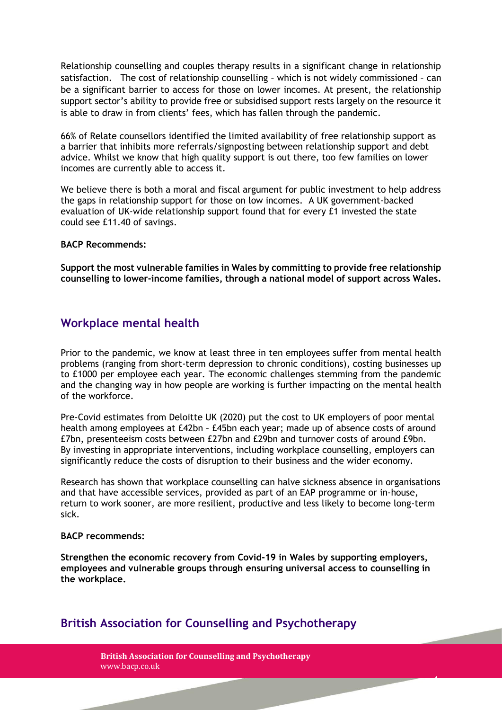Relationship counselling and couples therapy results in a significant change in relationship satisfaction. The cost of relationship counselling – which is not widely commissioned – can be a significant barrier to access for those on lower incomes. At present, the relationship support sector's ability to provide free or subsidised support rests largely on the resource it is able to draw in from clients' fees, which has fallen through the pandemic.

66% of Relate counsellors identified the limited availability of free relationship support as a barrier that inhibits more referrals/signposting between relationship support and debt advice. Whilst we know that high quality support is out there, too few families on lower incomes are currently able to access it.

We believe there is both a moral and fiscal argument for public investment to help address the gaps in relationship support for those on low incomes. A UK government-backed evaluation of UK-wide relationship support found that for every £1 invested the state could see £11.40 of savings.

**BACP Recommends:**

**Support the most vulnerable families in Wales by committing to provide free relationship counselling to lower-income families, through a national model of support across Wales.**

## **Workplace mental health**

Prior to the pandemic, we know at least three in ten employees suffer from mental health problems (ranging from short-term depression to chronic conditions), costing businesses up to £1000 per employee each year. The economic challenges stemming from the pandemic and the changing way in how people are working is further impacting on the mental health of the workforce.

Pre-Covid estimates from Deloitte UK (2020) put the cost to UK employers of poor mental health among employees at £42bn – £45bn each year; made up of absence costs of around £7bn, presenteeism costs between £27bn and £29bn and turnover costs of around £9bn. By investing in appropriate interventions, including workplace counselling, employers can significantly reduce the costs of disruption to their business and the wider economy.

Research has shown that workplace counselling can halve sickness absence in organisations and that have accessible services, provided as part of an EAP programme or in-house, return to work sooner, are more resilient, productive and less likely to become long-term sick.

### **BACP recommends:**

**Strengthen the economic recovery from Covid-19 in Wales by supporting employers, employees and vulnerable groups through ensuring universal access to counselling in the workplace.**

4

## **British Association for Counselling and Psychotherapy**

**British Association for Counselling and Psychotherapy** www.bacp.co.uk